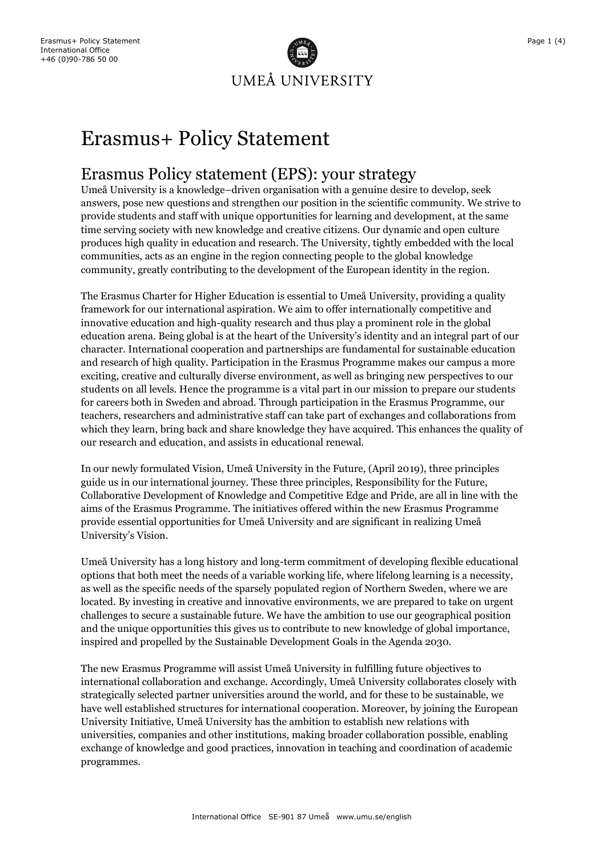

# Erasmus+ Policy Statement

## Erasmus Policy statement (EPS): your strategy

Umeå University is a knowledge–driven organisation with a genuine desire to develop, seek answers, pose new questions and strengthen our position in the scientific community. We strive to provide students and staff with unique opportunities for learning and development, at the same time serving society with new knowledge and creative citizens. Our dynamic and open culture produces high quality in education and research. The University, tightly embedded with the local communities, acts as an engine in the region connecting people to the global knowledge community, greatly contributing to the development of the European identity in the region.

The Erasmus Charter for Higher Education is essential to Umeå University, providing a quality framework for our international aspiration. We aim to offer internationally competitive and innovative education and high-quality research and thus play a prominent role in the global education arena. Being global is at the heart of the University's identity and an integral part of our character. International cooperation and partnerships are fundamental for sustainable education and research of high quality. Participation in the Erasmus Programme makes our campus a more exciting, creative and culturally diverse environment, as well as bringing new perspectives to our students on all levels. Hence the programme is a vital part in our mission to prepare our students for careers both in Sweden and abroad. Through participation in the Erasmus Programme, our teachers, researchers and administrative staff can take part of exchanges and collaborations from which they learn, bring back and share knowledge they have acquired. This enhances the quality of our research and education, and assists in educational renewal.

In our newly formulated Vision, Umeå University in the Future, (April 2019), three principles guide us in our international journey. These three principles, Responsibility for the Future, Collaborative Development of Knowledge and Competitive Edge and Pride, are all in line with the aims of the Erasmus Programme. The initiatives offered within the new Erasmus Programme provide essential opportunities for Umeå University and are significant in realizing Umeå University's Vision.

Umeå University has a long history and long-term commitment of developing flexible educational options that both meet the needs of a variable working life, where lifelong learning is a necessity, as well as the specific needs of the sparsely populated region of Northern Sweden, where we are located. By investing in creative and innovative environments, we are prepared to take on urgent challenges to secure a sustainable future. We have the ambition to use our geographical position and the unique opportunities this gives us to contribute to new knowledge of global importance, inspired and propelled by the Sustainable Development Goals in the Agenda 2030.

The new Erasmus Programme will assist Umeå University in fulfilling future objectives to international collaboration and exchange. Accordingly, Umeå University collaborates closely with strategically selected partner universities around the world, and for these to be sustainable, we have well established structures for international cooperation. Moreover, by joining the European University Initiative, Umeå University has the ambition to establish new relations with universities, companies and other institutions, making broader collaboration possible, enabling exchange of knowledge and good practices, innovation in teaching and coordination of academic programmes.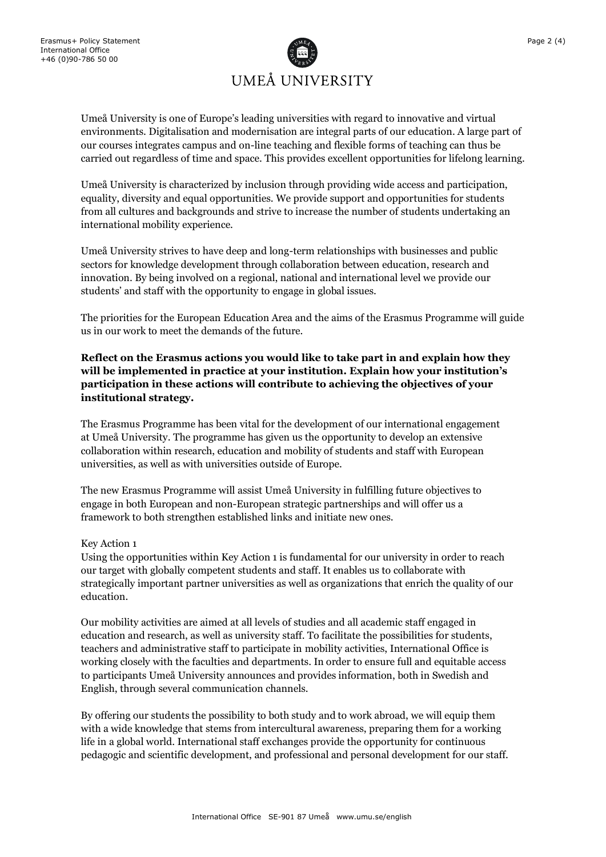

Umeå University is one of Europe's leading universities with regard to innovative and virtual environments. Digitalisation and modernisation are integral parts of our education. A large part of our courses integrates campus and on-line teaching and flexible forms of teaching can thus be carried out regardless of time and space. This provides excellent opportunities for lifelong learning.

Umeå University is characterized by inclusion through providing wide access and participation, equality, diversity and equal opportunities. We provide support and opportunities for students from all cultures and backgrounds and strive to increase the number of students undertaking an international mobility experience.

Umeå University strives to have deep and long-term relationships with businesses and public sectors for knowledge development through collaboration between education, research and innovation. By being involved on a regional, national and international level we provide our students' and staff with the opportunity to engage in global issues.

The priorities for the European Education Area and the aims of the Erasmus Programme will guide us in our work to meet the demands of the future.

**Reflect on the Erasmus actions you would like to take part in and explain how they will be implemented in practice at your institution. Explain how your institution's participation in these actions will contribute to achieving the objectives of your institutional strategy.** 

The Erasmus Programme has been vital for the development of our international engagement at Umeå University. The programme has given us the opportunity to develop an extensive collaboration within research, education and mobility of students and staff with European universities, as well as with universities outside of Europe.

The new Erasmus Programme will assist Umeå University in fulfilling future objectives to engage in both European and non-European strategic partnerships and will offer us a framework to both strengthen established links and initiate new ones.

#### Key Action 1

Using the opportunities within Key Action 1 is fundamental for our university in order to reach our target with globally competent students and staff. It enables us to collaborate with strategically important partner universities as well as organizations that enrich the quality of our education.

Our mobility activities are aimed at all levels of studies and all academic staff engaged in education and research, as well as university staff. To facilitate the possibilities for students, teachers and administrative staff to participate in mobility activities, International Office is working closely with the faculties and departments. In order to ensure full and equitable access to participants Umeå University announces and provides information, both in Swedish and English, through several communication channels.

By offering our students the possibility to both study and to work abroad, we will equip them with a wide knowledge that stems from intercultural awareness, preparing them for a working life in a global world. International staff exchanges provide the opportunity for continuous pedagogic and scientific development, and professional and personal development for our staff.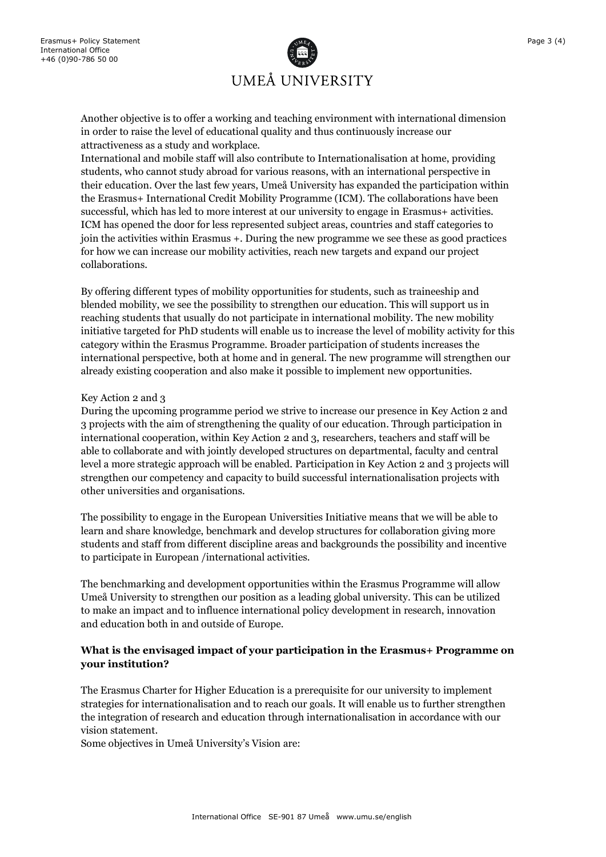

Another objective is to offer a working and teaching environment with international dimension in order to raise the level of educational quality and thus continuously increase our attractiveness as a study and workplace.

International and mobile staff will also contribute to Internationalisation at home, providing students, who cannot study abroad for various reasons, with an international perspective in their education. Over the last few years, Umeå University has expanded the participation within the Erasmus+ International Credit Mobility Programme (ICM). The collaborations have been successful, which has led to more interest at our university to engage in Erasmus+ activities. ICM has opened the door for less represented subject areas, countries and staff categories to join the activities within Erasmus +. During the new programme we see these as good practices for how we can increase our mobility activities, reach new targets and expand our project collaborations.

By offering different types of mobility opportunities for students, such as traineeship and blended mobility, we see the possibility to strengthen our education. This will support us in reaching students that usually do not participate in international mobility. The new mobility initiative targeted for PhD students will enable us to increase the level of mobility activity for this category within the Erasmus Programme. Broader participation of students increases the international perspective, both at home and in general. The new programme will strengthen our already existing cooperation and also make it possible to implement new opportunities.

#### Key Action 2 and 3

During the upcoming programme period we strive to increase our presence in Key Action 2 and 3 projects with the aim of strengthening the quality of our education. Through participation in international cooperation, within Key Action 2 and 3, researchers, teachers and staff will be able to collaborate and with jointly developed structures on departmental, faculty and central level a more strategic approach will be enabled. Participation in Key Action 2 and 3 projects will strengthen our competency and capacity to build successful internationalisation projects with other universities and organisations.

The possibility to engage in the European Universities Initiative means that we will be able to learn and share knowledge, benchmark and develop structures for collaboration giving more students and staff from different discipline areas and backgrounds the possibility and incentive to participate in European /international activities.

The benchmarking and development opportunities within the Erasmus Programme will allow Umeå University to strengthen our position as a leading global university. This can be utilized to make an impact and to influence international policy development in research, innovation and education both in and outside of Europe.

### **What is the envisaged impact of your participation in the Erasmus+ Programme on your institution?**

The Erasmus Charter for Higher Education is a prerequisite for our university to implement strategies for internationalisation and to reach our goals. It will enable us to further strengthen the integration of research and education through internationalisation in accordance with our vision statement.

Some objectives in Umeå University's Vision are: